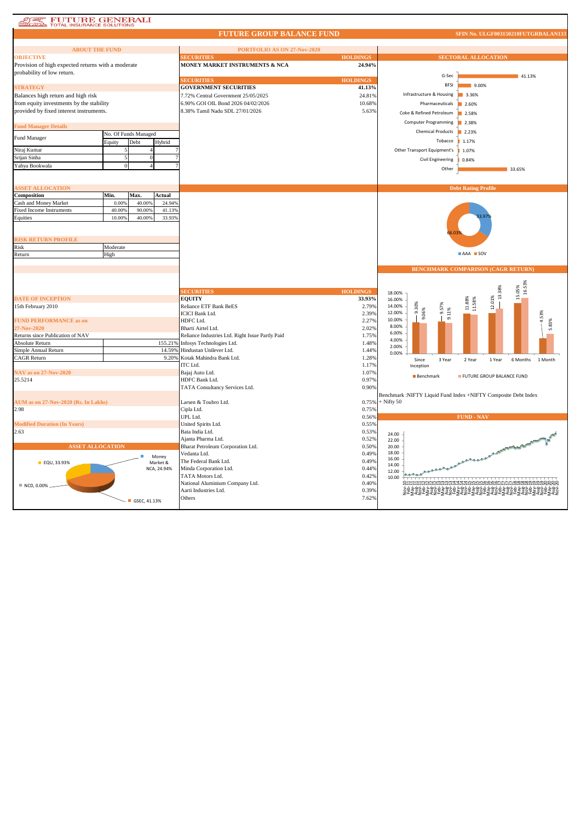## **AT PUTURE GENERALI**

## **FUTURE GROUP BALANCE FUND**

**SFIN No. ULGF003150210FUTGRBALAN133**

| <b>ABOUT THE FUND</b>                              |          |                      |             | PORTFOLIO AS ON 27-Nov-2020                      |                 |                                    |                                                                |
|----------------------------------------------------|----------|----------------------|-------------|--------------------------------------------------|-----------------|------------------------------------|----------------------------------------------------------------|
| <b>OBJECTIVE</b>                                   |          |                      |             | <b>ECURITIES</b>                                 | <b>HOLDINGS</b> |                                    | <b>SECTORAL ALLOCATION</b>                                     |
| Provision of high expected returns with a moderate |          |                      |             | MONEY MARKET INSTRUMENTS & NCA                   | 24.94%          |                                    |                                                                |
| probability of low return.                         |          |                      |             |                                                  |                 |                                    |                                                                |
|                                                    |          |                      |             | <b>ECURITIES</b>                                 | <b>HOLDINGS</b> | G-Sec                              | 41.13%                                                         |
| <b>STRATEGY</b>                                    |          |                      |             | <b>GOVERNMENT SECURITIES</b>                     | 41.13%          | <b>BFSI</b>                        | 9.00%                                                          |
| Balances high return and high risk                 |          |                      |             | 7.72% Central Government 25/05/2025              | 24.81%          | Infrastructure & Housing           | 3.36%                                                          |
| from equity investments by the stability           |          |                      |             | 6.90% GOI OIL Bond 2026 04/02/2026               | 10.68%          |                                    | 2.60%                                                          |
|                                                    |          |                      |             |                                                  |                 | Pharmaceuticals                    |                                                                |
| provided by fixed interest instruments.            |          |                      |             | 8.38% Tamil Nadu SDL 27/01/2026                  | 5.63%           | Coke & Refined Petroleum           | 2.58%                                                          |
|                                                    |          |                      |             |                                                  |                 | <b>Computer Programming</b>        | 2.38%                                                          |
| <b>Fund Manager Details</b>                        |          |                      |             |                                                  |                 | <b>Chemical Products</b>           | 2.23%                                                          |
| Fund Manager                                       |          | No. Of Funds Managed |             |                                                  |                 |                                    |                                                                |
|                                                    | Equity   | Debt                 | Hybrid      |                                                  |                 | Tobacco                            | 1.17%                                                          |
| Niraj Kumar                                        |          |                      |             |                                                  |                 | Other Transport Equipment's        | 1.07%                                                          |
| Srijan Sinha                                       |          | $\mathbf{0}$         |             |                                                  |                 | Civil Engineering                  | 0.84%                                                          |
| Yahya Bookwala                                     | $\Omega$ |                      |             |                                                  |                 |                                    |                                                                |
|                                                    |          |                      |             |                                                  |                 | Other                              | 33.65%                                                         |
|                                                    |          |                      |             |                                                  |                 |                                    |                                                                |
| <b>ASSET ALLOCATION</b>                            |          |                      |             |                                                  |                 |                                    | <b>Debt Rating Profile</b>                                     |
| Composition                                        | Min.     | Max.                 | Actual      |                                                  |                 |                                    |                                                                |
| Cash and Money Market                              | 0.009    | 40.009               | 24.94%      |                                                  |                 |                                    |                                                                |
| Fixed Income Instruments                           | 40.00%   | 90.00%               | 41.13%      |                                                  |                 |                                    |                                                                |
| Equities                                           | 10.00%   | 40.00%               | 33.93%      |                                                  |                 |                                    |                                                                |
|                                                    |          |                      |             |                                                  |                 |                                    |                                                                |
|                                                    |          |                      |             |                                                  |                 |                                    |                                                                |
| <b>RISK RETURN PROFILE</b>                         |          |                      |             |                                                  |                 |                                    |                                                                |
| Risk                                               | Moderate |                      |             |                                                  |                 |                                    |                                                                |
| Return                                             | High     |                      |             |                                                  |                 |                                    | AAA SOV                                                        |
|                                                    |          |                      |             |                                                  |                 |                                    |                                                                |
|                                                    |          |                      |             |                                                  |                 |                                    | <b>BENCHMARK COMPARISON (CAGR RETURN)</b>                      |
|                                                    |          |                      |             |                                                  |                 |                                    |                                                                |
|                                                    |          |                      |             |                                                  |                 |                                    |                                                                |
|                                                    |          |                      |             | <b>ECURITIES</b>                                 |                 |                                    | 16.53%<br>15.05%                                               |
|                                                    |          |                      |             |                                                  | <b>HOLDINGS</b> | 18.00%                             |                                                                |
| <b>DATE OF INCEPTION</b>                           |          |                      |             | <b>EQUITY</b>                                    | 33.93%          | 16.00%                             | $\frac{12.01\%}{13.38\%}$<br>$11.88\%$ $11.58\%$               |
| 15th February 2010                                 |          |                      |             | Reliance ETF Bank BeES                           | 2.79%           | 9.30%<br>9.57%<br>14.00%<br>12.00% |                                                                |
|                                                    |          |                      |             | <b>ICICI Bank Ltd.</b>                           | 2.39%           | 9.11%<br>9.06%<br>10.00%           | 4.53%                                                          |
| <b>FUND PERFORMANCE as on</b>                      |          |                      |             | HDFC Ltd.                                        | 2.27%           | 8.00%                              | 5.83%                                                          |
| 27-Nov-2020                                        |          |                      |             | Bharti Airtel Ltd.                               | 2.02%           | 6.00%                              |                                                                |
| Returns since Publication of NAV                   |          |                      |             | Reliance Industries Ltd. Right Issue Partly Paid | 1.75%           | 4.00%                              |                                                                |
| <b>Absolute Return</b>                             |          |                      |             | 155.21% Infosys Technologies Ltd.                | 1.48%           | 2.00%                              |                                                                |
| Simple Annual Return                               |          |                      | 14.59%      | Hindustan Unilever Ltd.                          | 1.44%           | 0.00%                              |                                                                |
| <b>CAGR Return</b>                                 |          |                      |             | 9.20% Kotak Mahindra Bank Ltd.                   | 1.28%           | Since<br>3 Year                    | 2 Year<br>6 Months<br>1 Month<br>1 Year                        |
|                                                    |          |                      |             | ITC Ltd.                                         | 1.17%           | Inception                          |                                                                |
| NAV as on 27-Nov-2020                              |          |                      |             | Bajaj Auto Ltd.                                  | 1.07%           | Benchmark                          | FUTURE GROUP BALANCE FUND                                      |
| 25.5214                                            |          |                      |             | HDFC Bank Ltd.                                   | 0.97%           |                                    |                                                                |
|                                                    |          |                      |             | TATA Consultancy Services Ltd.                   | 0.90%           |                                    |                                                                |
|                                                    |          |                      |             |                                                  |                 |                                    | Benchmark :NIFTY Liquid Fund Index +NIFTY Composite Debt Index |
| AUM as on 27-Nov-2020 (Rs. In Lakhs)               |          |                      |             | Larsen & Toubro Ltd.                             | 0.75%           | $+$ Nifty 50                       |                                                                |
| 2.98                                               |          |                      |             | Cipla Ltd.                                       | 0.75%           |                                    |                                                                |
|                                                    |          |                      |             | UPL Ltd.                                         | 0.56%           |                                    | <b>FUND - NAV</b>                                              |
| <b>Modified Duration (In Years)</b>                |          |                      |             | United Spirits Ltd.                              | 0.55%           |                                    |                                                                |
| 2.63                                               |          |                      |             | Bata India Ltd.                                  | 0.53%           | 24.00                              |                                                                |
|                                                    |          |                      |             | Ajanta Pharma Ltd.                               | 0.52%           | 22.00                              |                                                                |
| <b>ASSET ALLOCATION</b>                            |          |                      |             | Bharat Petroleum Corporation Ltd.                | 0.50%           | 20.00                              |                                                                |
|                                                    |          |                      | Money       | Vedanta Ltd.                                     | 0.49%           | 18.00                              | A CALIFORNIA REAL PARTIES (1977)                               |
| ■ EQU, 33.93%                                      |          |                      | Market &    | The Federal Bank Ltd.                            | 0.49%           | 16.00                              |                                                                |
|                                                    |          |                      | NCA, 24.94% | Minda Corporation Ltd.                           | 0.44%           | 14.00<br>بمعقعهم<br>12.00          |                                                                |
|                                                    |          |                      |             | TATA Motors Ltd.                                 | 0.42%           | 10.00                              |                                                                |
| ■ NCD, 0.00%                                       |          |                      |             | National Aluminium Company Ltd.                  | 0.40%           |                                    | iw4444Mnininonon/vvvoooooooooo                                 |
|                                                    |          |                      |             | Aarti Industries Ltd.                            | 0.39%           |                                    | <br>⋛⋬⋩⋭⋨⋬⋩⋬⋩⋬⋩⋬⋩⋬⋩⋬⋩⋬⋧⋬⋩⋬⋩⋬⋩⋬⋩⋬⋧<br>⋛⋬⋩⋭⋨⋠⋣⋭⋨⋬⋩⋬⋩⋬⋩⋬⋩⋬⋩⋬⋩⋬⋩   |
|                                                    |          |                      |             | Others                                           | 7.62%           |                                    |                                                                |
|                                                    |          | $-$ GSEC, 41.13%     |             |                                                  |                 |                                    |                                                                |
|                                                    |          |                      |             |                                                  |                 |                                    |                                                                |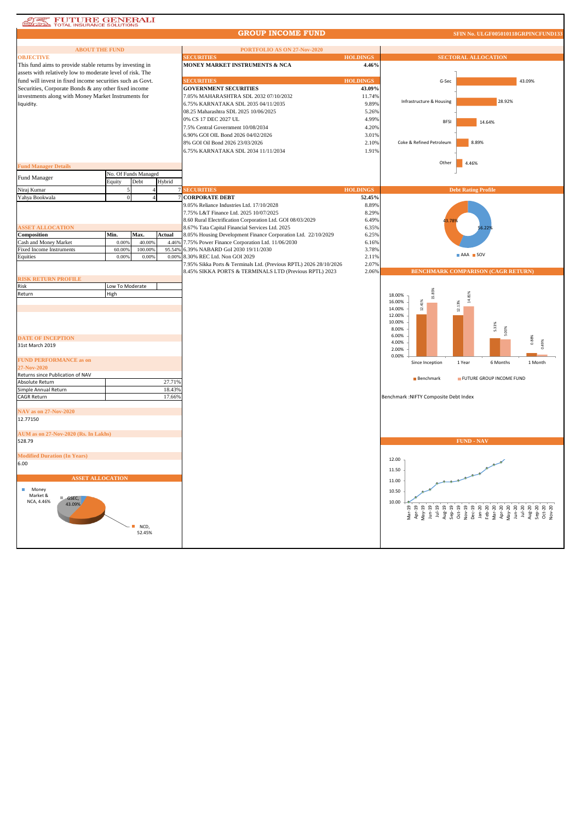## **AT FUTURE GENERALI**

## **GROUP INCOME FUND**

 $\sqrt{10}$  CF

| <b>ABOUT THE FUND</b>                                     |                 |                      |        | PORTFOLIO AS ON 27-Nov-2020                                                         |                 |                                                                                                                                                                                                                                                                                                                                                                                                                                                                |
|-----------------------------------------------------------|-----------------|----------------------|--------|-------------------------------------------------------------------------------------|-----------------|----------------------------------------------------------------------------------------------------------------------------------------------------------------------------------------------------------------------------------------------------------------------------------------------------------------------------------------------------------------------------------------------------------------------------------------------------------------|
| <b>OBJECTIVE</b>                                          |                 |                      |        | <b>SECURITIES</b>                                                                   | <b>HOLDINGS</b> | <b>SECTORAL ALLOCATION</b>                                                                                                                                                                                                                                                                                                                                                                                                                                     |
| This fund aims to provide stable returns by investing in  |                 |                      |        | MONEY MARKET INSTRUMENTS & NCA                                                      | 4.46%           |                                                                                                                                                                                                                                                                                                                                                                                                                                                                |
| assets with relatively low to moderate level of risk. The |                 |                      |        |                                                                                     |                 |                                                                                                                                                                                                                                                                                                                                                                                                                                                                |
| fund will invest in fixed income securities such as Govt. |                 |                      |        | <b>SECURITIES</b>                                                                   | <b>HOLDINGS</b> | 43.09%<br>G-Sec                                                                                                                                                                                                                                                                                                                                                                                                                                                |
| Securities, Corporate Bonds & any other fixed income      |                 |                      |        | <b>GOVERNMENT SECURITIES</b>                                                        | 43.09%          |                                                                                                                                                                                                                                                                                                                                                                                                                                                                |
| investments along with Money Market Instruments for       |                 |                      |        | 7.05% MAHARASHTRA SDL 2032 07/10/2032                                               | 11.74%          |                                                                                                                                                                                                                                                                                                                                                                                                                                                                |
| liquidity.                                                |                 |                      |        | 6.75% KARNATAKA SDL 2035 04/11/2035                                                 | 9.89%           | 28.92%<br>Infrastructure & Housing                                                                                                                                                                                                                                                                                                                                                                                                                             |
|                                                           |                 |                      |        | 08.25 Maharashtra SDL 2025 10/06/2025                                               | 5.26%           |                                                                                                                                                                                                                                                                                                                                                                                                                                                                |
|                                                           |                 |                      |        | 0% CS 17 DEC 2027 UL                                                                | 4.99%           | <b>BFSI</b><br>14.64%                                                                                                                                                                                                                                                                                                                                                                                                                                          |
|                                                           |                 |                      |        | 7.5% Central Government 10/08/2034                                                  | 4.20%           |                                                                                                                                                                                                                                                                                                                                                                                                                                                                |
|                                                           |                 |                      |        | 6.90% GOI OIL Bond 2026 04/02/2026                                                  | 3.01%           |                                                                                                                                                                                                                                                                                                                                                                                                                                                                |
|                                                           |                 |                      |        | 8% GOI Oil Bond 2026 23/03/2026                                                     | 2.10%           | Coke & Refined Petroleum<br>8.89%                                                                                                                                                                                                                                                                                                                                                                                                                              |
|                                                           |                 |                      |        | 6.75% KARNATAKA SDL 2034 11/11/2034                                                 | 1.91%           |                                                                                                                                                                                                                                                                                                                                                                                                                                                                |
|                                                           |                 |                      |        |                                                                                     |                 |                                                                                                                                                                                                                                                                                                                                                                                                                                                                |
| <b>Fund Manager Details</b>                               |                 |                      |        |                                                                                     |                 | Other<br>4.46%                                                                                                                                                                                                                                                                                                                                                                                                                                                 |
| Fund Manager                                              |                 | No. Of Funds Managed |        |                                                                                     |                 |                                                                                                                                                                                                                                                                                                                                                                                                                                                                |
| Niraj Kumar                                               | Equity          | Debt                 | Hybrid | <b>SECURITIES</b>                                                                   | <b>HOLDINGS</b> |                                                                                                                                                                                                                                                                                                                                                                                                                                                                |
|                                                           | $\theta$        |                      |        | <b>CORPORATE DEBT</b>                                                               | 52.45%          | <b>Debt Rating Profile</b>                                                                                                                                                                                                                                                                                                                                                                                                                                     |
| Yahya Bookwala                                            |                 |                      |        |                                                                                     |                 |                                                                                                                                                                                                                                                                                                                                                                                                                                                                |
|                                                           |                 |                      |        | 9.05% Reliance Industries Ltd. 17/10/2028<br>7.75% L&T Finance Ltd. 2025 10/07/2025 | 8.89%<br>8.29%  |                                                                                                                                                                                                                                                                                                                                                                                                                                                                |
|                                                           |                 |                      |        | 8.60 Rural Electrification Corporation Ltd. GOI 08/03/2029                          | 6.49%           |                                                                                                                                                                                                                                                                                                                                                                                                                                                                |
| <b>ASSET ALLOCATION</b>                                   |                 |                      |        | 8.67% Tata Capital Financial Services Ltd. 2025                                     | 6.35%           |                                                                                                                                                                                                                                                                                                                                                                                                                                                                |
| Composition                                               | Min.            | Max.                 | Actual | 8.05% Housing Development Finance Corporation Ltd. 22/10/2029                       | 6.25%           |                                                                                                                                                                                                                                                                                                                                                                                                                                                                |
| Cash and Money Market                                     | 0.009           | 40.00%               | 4.469  | 7.75% Power Finance Corporation Ltd. 11/06/2030                                     | 6.16%           |                                                                                                                                                                                                                                                                                                                                                                                                                                                                |
| <b>Fixed Income Instruments</b>                           | 60.00%          | 100.00%              | 95.54% | 6.39% NABARD GoI 2030 19/11/2030                                                    | 3.78%           |                                                                                                                                                                                                                                                                                                                                                                                                                                                                |
| Equities                                                  | 0.00%           | 0.00%                | 0.00%  | 8.30% REC Ltd. Non GOI 2029                                                         | 2.11%           | AAA SOV                                                                                                                                                                                                                                                                                                                                                                                                                                                        |
|                                                           |                 |                      |        | 7.95% Sikka Ports & Terminals Ltd. (Previous RPTL) 2026 28/10/2026                  | 2.07%           |                                                                                                                                                                                                                                                                                                                                                                                                                                                                |
|                                                           |                 |                      |        | 8.45% SIKKA PORTS & TERMINALS LTD (Previous RPTL) 2023                              | 2.06%           | BENCHMARK COMPARISON (CAGR RETURN)                                                                                                                                                                                                                                                                                                                                                                                                                             |
| <b>RISK RETURN PROFILE</b>                                |                 |                      |        |                                                                                     |                 |                                                                                                                                                                                                                                                                                                                                                                                                                                                                |
| Risk                                                      | Low To Moderate |                      |        |                                                                                     |                 |                                                                                                                                                                                                                                                                                                                                                                                                                                                                |
| Return                                                    | High            |                      |        |                                                                                     |                 | 15.85%<br>18.00%                                                                                                                                                                                                                                                                                                                                                                                                                                               |
|                                                           |                 |                      |        |                                                                                     |                 | 12.41%<br>16.00%                                                                                                                                                                                                                                                                                                                                                                                                                                               |
|                                                           |                 |                      |        |                                                                                     |                 | 12.13%<br>14.00%                                                                                                                                                                                                                                                                                                                                                                                                                                               |
|                                                           |                 |                      |        |                                                                                     |                 | 12.00%                                                                                                                                                                                                                                                                                                                                                                                                                                                         |
|                                                           |                 |                      |        |                                                                                     |                 | 10.00%<br>5.33%                                                                                                                                                                                                                                                                                                                                                                                                                                                |
|                                                           |                 |                      |        |                                                                                     |                 | 8.00%<br>5.00%                                                                                                                                                                                                                                                                                                                                                                                                                                                 |
| <b>DATE OF INCEPTION</b>                                  |                 |                      |        |                                                                                     |                 | 6.00%<br>0.88%<br>4.00%                                                                                                                                                                                                                                                                                                                                                                                                                                        |
| 31st March 2019                                           |                 |                      |        |                                                                                     |                 | 2.00%                                                                                                                                                                                                                                                                                                                                                                                                                                                          |
|                                                           |                 |                      |        |                                                                                     |                 | 0.00%                                                                                                                                                                                                                                                                                                                                                                                                                                                          |
| <b>FUND PERFORMANCE as on</b><br>27-Nov-2020              |                 |                      |        |                                                                                     |                 | Since Inception<br>1 Year<br>6 Months<br>1 Month                                                                                                                                                                                                                                                                                                                                                                                                               |
| Returns since Publication of NAV                          |                 |                      |        |                                                                                     |                 | FUTURE GROUP INCOME FUND                                                                                                                                                                                                                                                                                                                                                                                                                                       |
| Absolute Return                                           |                 |                      | 27.719 |                                                                                     |                 | Benchmark                                                                                                                                                                                                                                                                                                                                                                                                                                                      |
| Simple Annual Return                                      |                 |                      | 18.43% |                                                                                     |                 |                                                                                                                                                                                                                                                                                                                                                                                                                                                                |
| <b>CAGR Return</b>                                        |                 |                      | 17.66% |                                                                                     |                 | Benchmark : NIFTY Composite Debt Index                                                                                                                                                                                                                                                                                                                                                                                                                         |
|                                                           |                 |                      |        |                                                                                     |                 |                                                                                                                                                                                                                                                                                                                                                                                                                                                                |
| <b>NAV as on 27-Nov-2020</b>                              |                 |                      |        |                                                                                     |                 |                                                                                                                                                                                                                                                                                                                                                                                                                                                                |
| 12.77150                                                  |                 |                      |        |                                                                                     |                 |                                                                                                                                                                                                                                                                                                                                                                                                                                                                |
| AUM as on 27-Nov-2020 (Rs. In Lakhs)                      |                 |                      |        |                                                                                     |                 |                                                                                                                                                                                                                                                                                                                                                                                                                                                                |
|                                                           |                 |                      |        |                                                                                     |                 | <b>FUND - NAV</b>                                                                                                                                                                                                                                                                                                                                                                                                                                              |
| 528.79                                                    |                 |                      |        |                                                                                     |                 |                                                                                                                                                                                                                                                                                                                                                                                                                                                                |
| <b>Modified Duration (In Years)</b>                       |                 |                      |        |                                                                                     |                 |                                                                                                                                                                                                                                                                                                                                                                                                                                                                |
| 6.00                                                      |                 |                      |        |                                                                                     |                 | 12.00                                                                                                                                                                                                                                                                                                                                                                                                                                                          |
|                                                           |                 |                      |        |                                                                                     |                 | 11.50                                                                                                                                                                                                                                                                                                                                                                                                                                                          |
| <b>ASSET ALLOCATION</b>                                   |                 |                      |        |                                                                                     |                 |                                                                                                                                                                                                                                                                                                                                                                                                                                                                |
|                                                           |                 |                      |        |                                                                                     |                 | 11.00                                                                                                                                                                                                                                                                                                                                                                                                                                                          |
| Money<br>Market &                                         |                 |                      |        |                                                                                     |                 | 10.50                                                                                                                                                                                                                                                                                                                                                                                                                                                          |
| GSEC,<br>NCA, 4.46%                                       |                 |                      |        |                                                                                     |                 | 10.00                                                                                                                                                                                                                                                                                                                                                                                                                                                          |
| 43.09%                                                    |                 |                      |        |                                                                                     |                 |                                                                                                                                                                                                                                                                                                                                                                                                                                                                |
|                                                           |                 |                      |        |                                                                                     |                 | $\begin{array}{l} \mathbf{M}_{\mathbf{B}}=\mathbf{M}_{\mathbf{B}}=\mathbf{M}_{\mathbf{B}}=\mathbf{M}_{\mathbf{B}}=\mathbf{M}_{\mathbf{B}}=\mathbf{M}_{\mathbf{B}}=\mathbf{M}_{\mathbf{B}}=\mathbf{M}_{\mathbf{B}}=\mathbf{M}_{\mathbf{B}}=\mathbf{M}_{\mathbf{B}}=\mathbf{M}_{\mathbf{B}}=\mathbf{M}_{\mathbf{B}}=\mathbf{M}_{\mathbf{B}}=\mathbf{M}_{\mathbf{B}}=\mathbf{M}_{\mathbf{B}}=\mathbf{M}_{\mathbf{B}}=\mathbf{M}_{\mathbf{B}}=\mathbf{M}_{\mathbf$ |
|                                                           |                 |                      |        |                                                                                     |                 |                                                                                                                                                                                                                                                                                                                                                                                                                                                                |
|                                                           |                 | NCD,<br>52.45%       |        |                                                                                     |                 |                                                                                                                                                                                                                                                                                                                                                                                                                                                                |
|                                                           |                 |                      |        |                                                                                     |                 |                                                                                                                                                                                                                                                                                                                                                                                                                                                                |
|                                                           |                 |                      |        |                                                                                     |                 |                                                                                                                                                                                                                                                                                                                                                                                                                                                                |